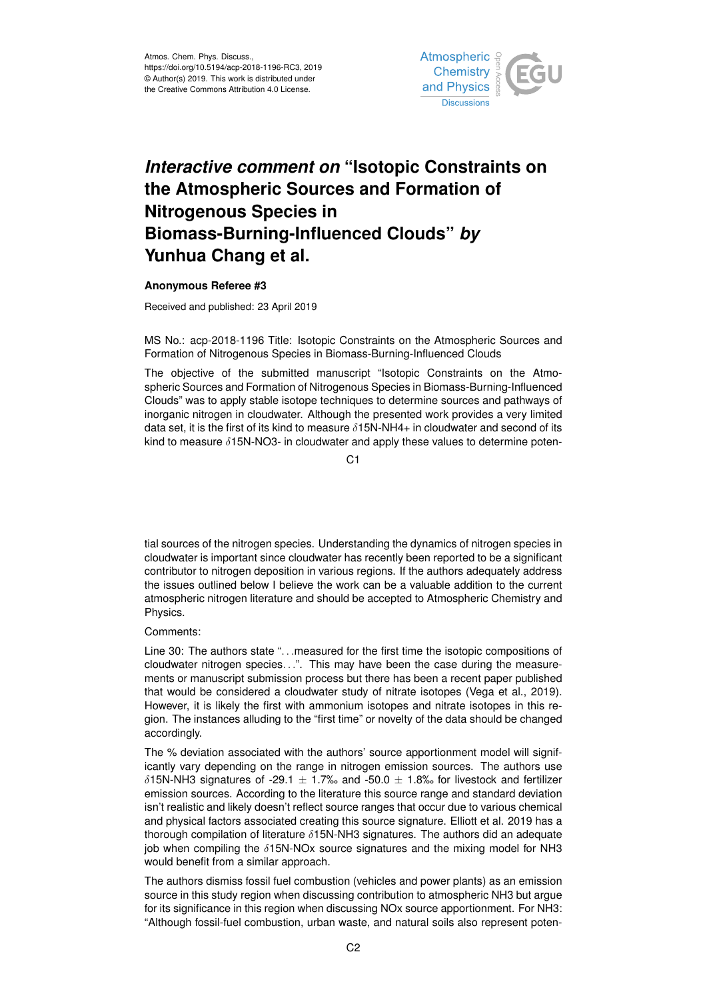

## *Interactive comment on* **"Isotopic Constraints on the Atmospheric Sources and Formation of Nitrogenous Species in Biomass-Burning-Influenced Clouds"** *by* **Yunhua Chang et al.**

## **Anonymous Referee #3**

Received and published: 23 April 2019

MS No.: acp-2018-1196 Title: Isotopic Constraints on the Atmospheric Sources and Formation of Nitrogenous Species in Biomass-Burning-Influenced Clouds

The objective of the submitted manuscript "Isotopic Constraints on the Atmospheric Sources and Formation of Nitrogenous Species in Biomass-Burning-Influenced Clouds" was to apply stable isotope techniques to determine sources and pathways of inorganic nitrogen in cloudwater. Although the presented work provides a very limited data set, it is the first of its kind to measure  $\delta$ 15N-NH4+ in cloudwater and second of its kind to measure  $\delta$ 15N-NO3- in cloudwater and apply these values to determine poten-

 $C<sub>1</sub>$ 

tial sources of the nitrogen species. Understanding the dynamics of nitrogen species in cloudwater is important since cloudwater has recently been reported to be a significant contributor to nitrogen deposition in various regions. If the authors adequately address the issues outlined below I believe the work can be a valuable addition to the current atmospheric nitrogen literature and should be accepted to Atmospheric Chemistry and Physics.

## Comments:

Line 30: The authors state "... measured for the first time the isotopic compositions of cloudwater nitrogen species. . .". This may have been the case during the measurements or manuscript submission process but there has been a recent paper published that would be considered a cloudwater study of nitrate isotopes (Vega et al., 2019). However, it is likely the first with ammonium isotopes and nitrate isotopes in this region. The instances alluding to the "first time" or novelty of the data should be changed accordingly.

The % deviation associated with the authors' source apportionment model will significantly vary depending on the range in nitrogen emission sources. The authors use  $\delta$ 15N-NH3 signatures of -29.1  $\pm$  1.7‰ and -50.0  $\pm$  1.8‰ for livestock and fertilizer emission sources. According to the literature this source range and standard deviation isn't realistic and likely doesn't reflect source ranges that occur due to various chemical and physical factors associated creating this source signature. Elliott et al. 2019 has a thorough compilation of literature  $\delta$ 15N-NH3 signatures. The authors did an adequate job when compiling the  $\delta$ 15N-NOx source signatures and the mixing model for NH3 would benefit from a similar approach.

The authors dismiss fossil fuel combustion (vehicles and power plants) as an emission source in this study region when discussing contribution to atmospheric NH3 but argue for its significance in this region when discussing NOx source apportionment. For NH3: "Although fossil-fuel combustion, urban waste, and natural soils also represent poten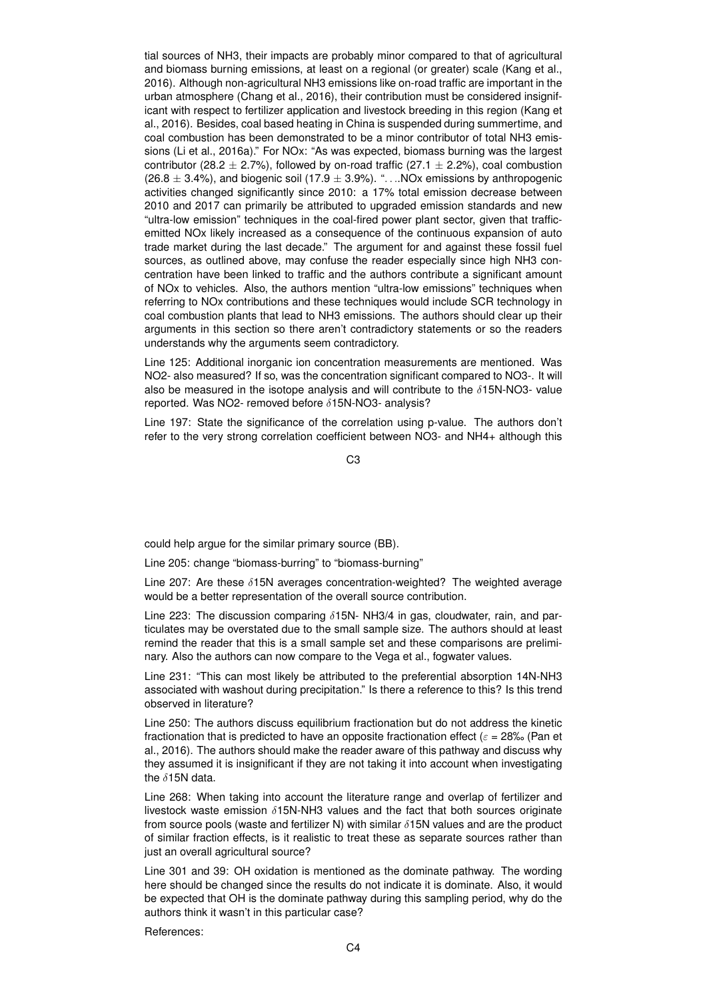tial sources of NH3, their impacts are probably minor compared to that of agricultural and biomass burning emissions, at least on a regional (or greater) scale (Kang et al., 2016). Although non-agricultural NH3 emissions like on-road traffic are important in the urban atmosphere (Chang et al., 2016), their contribution must be considered insignificant with respect to fertilizer application and livestock breeding in this region (Kang et al., 2016). Besides, coal based heating in China is suspended during summertime, and coal combustion has been demonstrated to be a minor contributor of total NH3 emissions (Li et al., 2016a)." For NOx: "As was expected, biomass burning was the largest contributor (28.2  $\pm$  2.7%), followed by on-road traffic (27.1  $\pm$  2.2%), coal combustion  $(26.8 \pm 3.4\%)$ , and biogenic soil  $(17.9 \pm 3.9\%)$ . "... NOx emissions by anthropogenic activities changed significantly since 2010: a 17% total emission decrease between 2010 and 2017 can primarily be attributed to upgraded emission standards and new "ultra-low emission" techniques in the coal-fired power plant sector, given that trafficemitted NOx likely increased as a consequence of the continuous expansion of auto trade market during the last decade." The argument for and against these fossil fuel sources, as outlined above, may confuse the reader especially since high NH3 concentration have been linked to traffic and the authors contribute a significant amount of NOx to vehicles. Also, the authors mention "ultra-low emissions" techniques when referring to NOx contributions and these techniques would include SCR technology in coal combustion plants that lead to NH3 emissions. The authors should clear up their arguments in this section so there aren't contradictory statements or so the readers understands why the arguments seem contradictory.

Line 125: Additional inorganic ion concentration measurements are mentioned. Was NO2- also measured? If so, was the concentration significant compared to NO3-. It will also be measured in the isotope analysis and will contribute to the  $\delta$ 15N-NO3- value reported. Was NO2- removed before δ15N-NO3- analysis?

Line 197: State the significance of the correlation using p-value. The authors don't refer to the very strong correlation coefficient between NO3- and NH4+ although this

 $C<sub>3</sub>$ 

could help argue for the similar primary source (BB).

Line 205: change "biomass-burring" to "biomass-burning"

Line 207: Are these  $\delta$ 15N averages concentration-weighted? The weighted average would be a better representation of the overall source contribution.

Line 223: The discussion comparing  $\delta$ 15N- NH3/4 in gas, cloudwater, rain, and particulates may be overstated due to the small sample size. The authors should at least remind the reader that this is a small sample set and these comparisons are preliminary. Also the authors can now compare to the Vega et al., fogwater values.

Line 231: "This can most likely be attributed to the preferential absorption 14N-NH3 associated with washout during precipitation." Is there a reference to this? Is this trend observed in literature?

Line 250: The authors discuss equilibrium fractionation but do not address the kinetic fractionation that is predicted to have an opposite fractionation effect ( $\varepsilon = 28\%$ ). (Pan et al., 2016). The authors should make the reader aware of this pathway and discuss why they assumed it is insignificant if they are not taking it into account when investigating the  $\delta$ 15N data.

Line 268: When taking into account the literature range and overlap of fertilizer and livestock waste emission  $\delta$ 15N-NH3 values and the fact that both sources originate from source pools (waste and fertilizer N) with similar  $\delta$ 15N values and are the product of similar fraction effects, is it realistic to treat these as separate sources rather than just an overall agricultural source?

Line 301 and 39: OH oxidation is mentioned as the dominate pathway. The wording here should be changed since the results do not indicate it is dominate. Also, it would be expected that OH is the dominate pathway during this sampling period, why do the authors think it wasn't in this particular case?

References: